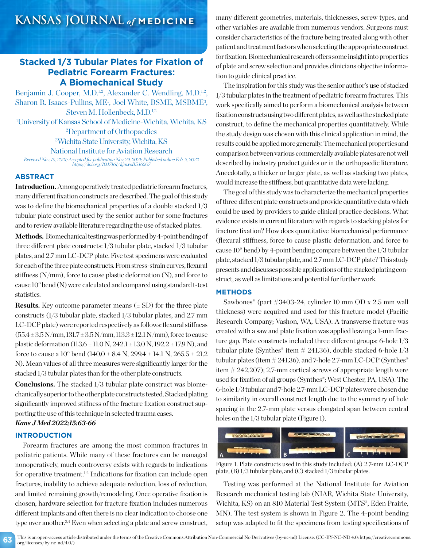# **KANSAS JOURNAL** *of* **MEDICINE**

# **Stacked 1/3 Tubular Plates for Fixation of Pediatric Forearm Fractures: A Biomechanical Study**

Benjamin J. Cooper, M.D.<sup>1,2</sup>, Alexander C. Wendling, M.D.<sup>1,2</sup>, Sharon R. Isaacs-Pullins, ME<sup>1</sup>, Joel White, BSME, MSBME<sup>3</sup>, Steven M. Hollenbeck, M.D.<sup>1,2</sup> 1 University of Kansas School of Medicine-Wichita, Wichita, KS 2 Department of Orthopaedics 3 Wichita State University, Wichita, KS National Institute for Aviation Research *Received Nov. 16, 2021; Accepted for publication Nov. 29, 2021; Published online Feb. 9, 2022 https://doi.org/10.17161/kjm.vol15.16207*

## **ABSTRACT**

**Introduction.** Among operatively treated pediatric forearm fractures, many different fixation constructs are described. The goal of this study was to define the biomechanical properties of a double stacked 1/3 tubular plate construct used by the senior author for some fractures and to review available literature regarding the use of stacked plates.

Methods. Biomechanical testing was performed by 4-point bending of three different plate constructs: 1/3 tubular plate, stacked 1/3 tubular plates, and 2.7 mm LC-DCP plate. Five test specimens were evaluated for each of the three plate constructs. From stress-strain curves, flexural stiffness  $(N/mm)$ , force to cause plastic deformation  $(N)$ , and force to cause 10° bend (N) were calculated and compared using standard t-test statistics.

**Results.** Key outcome parameter means  $(\pm SD)$  for the three plate constructs (1/3 tubular plate, stacked 1/3 tubular plates, and 2.7 mm LC-DCP plate) were reported respectively as follows: flexural stiffness  $(55.4 \pm 3.5 \text{ N/mm}, 131.7 \pm 3.5 \text{ N/mm}, 113.3 \pm 12.1 \text{ N/mm})$ , force to cause plastic deformation (113.6 ± 11.0 N, 242.1 ± 13.0 N, 192.2 ± 17.9 N), and force to cause a 10<sup>°</sup> bend (140.0  $\pm$  8.4 N, 299.4  $\pm$  14.1 N, 265.5  $\pm$  21.2 N). Mean values of all three measures were significantly larger for the stacked 1/3 tubular plates than for the other plate constructs.

**Conclusions.** The stacked 1/3 tubular plate construct was biomechanically superior to the other plate constructs tested. Stacked plating significantly improved stiffness of the fracture fixation construct supporting the use of this technique in selected trauma cases.

# *Kans J Med 2022;15:63-66*

# **INTRODUCTION**

Forearm fractures are among the most common fractures in pediatric patients. While many of these fractures can be managed nonoperatively, much controversy exists with regards to indications for operative treatment.1,2 Indications for fixation can include open fractures, inability to achieve adequate reduction, loss of reduction, and limited remaining growth/remodeling. Once operative fixation is chosen, hardware selection for fracture fixation includes numerous different implants and often there is no clear indication to choose one type over another.<sup>3,4</sup> Even when selecting a plate and screw construct, many different geometries, materials, thicknesses, screw types, and other variables are available from numerous vendors. Surgeons must consider characteristics of the fracture being treated along with other patient and treatment factors when selecting the appropriate construct for fixation. Biomechanical research offers some insight into properties of plate and screw selection and provides clinicians objective information to guide clinical practice.

The inspiration for this study was the senior author's use of stacked 1/3 tubular plates in the treatment of pediatric forearm fractures. This work specifically aimed to perform a biomechanical analysis between fixation constructs using two different plates, as well as the stacked plate construct, to define the mechanical properties quantitatively. While the study design was chosen with this clinical application in mind, the results could be applied more generally. The mechanical properties and comparison between various commercially available plates are not well described by industry product guides or in the orthopaedic literature. Anecdotally, a thicker or larger plate, as well as stacking two plates, would increase the stiffness, but quantitative data were lacking.

The goal of this study was to characterize the mechanical properties of three different plate constructs and provide quantitative data which could be used by providers to guide clinical practice decisions. What evidence exists in current literature with regards to stacking plates for fracture fixation? How does quantitative biomechanical performance (flexural stiffness, force to cause plastic deformation, and force to cause 10° bend) by 4-point bending compare between the 1/3 tubular plate, stacked 1/3 tubular plate, and 2.7 mm LC-DCP plate? This study presents and discusses possible applications of the stacked plating construct, as well as limitations and potential for further work.

### **METHODS**

Sawbones® (part #3403-24, cylinder 10 mm OD x 2.5 mm wall thickness) were acquired and used for this fracture model (Pacific Research Company; Vashon, WA, USA). A transverse fracture was created with a saw and plate fixation was applied leaving a 1-mm fracture gap. Plate constructs included three different groups: 6-hole 1/3 tubular plate (Synthes<sup>®</sup> item  $\#$  241.36), double stacked 6-hole  $1/3$ tubular plates (item  $\#241.36$ ), and 7-hole 2.7-mm LC-DCP (Synthes<sup>®</sup> item # 242.207); 2.7-mm cortical screws of appropriate length were used for fixation of all groups (Synthes®; West Chester, PA, USA). The 6-hole 1/3 tubular and 7-hole 2.7-mm LC-DCP plates were chosen due to similarity in overall construct length due to the symmetry of hole spacing in the 2.7-mm plate versus elongated span between central holes on the  $1/3$  tubular plate (Figure 1).



Figure 1. Plate constructs used in this study included: (A) 2.7-mm LC-DCP plate, (B) 1/3 tubular plate, and (C) stacked 1/3 tubular plates.

Testing was performed at the National Institute for Aviation Research mechanical testing lab (NIAR, Wichita State University, Wichita, KS) on an 810 Material Test System (MTS®, Eden Prairie, MN). The test system is shown in Figure 2. The 4-point bending setup was adapted to fit the specimens from testing specifications of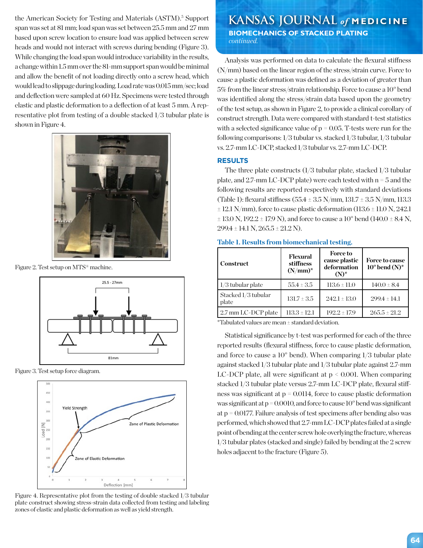the American Society for Testing and Materials (ASTM).<sup>5</sup> Support span was set at 81 mm; load span was set between 25.5 mm and 27 mm based upon screw location to ensure load was applied between screw heads and would not interact with screws during bending (Figure 3). While changing the load span would introduce variability in the results, a change within 1.5 mm over the 81-mm support span would be minimal and allow the benefit of not loading directly onto a screw head, which would lead to slippage during loading. Load rate was 0.015 mm/sec; load and deflection were sampled at 60 Hz. Specimens were tested through elastic and plastic deformation to a deflection of at least 5 mm. A representative plot from testing of a double stacked 1/3 tubular plate is shown in Figure 4.



Figure 2. Test setup on MTS® machine.



Figure 3. Test setup force diagram.



Figure 4. Representative plot from the testing of double stacked 1/3 tubular plate construct showing stress-strain data collected from testing and labeling zones of elastic and plastic deformation as well as yield strength.

# **KANSAS JOURNAL** of **MEDICINE**

 **BIOMECHANICS OF STACKED PLATING** *continued.*

Analysis was performed on data to calculate the flexural stiffness (N/mm) based on the linear region of the stress/strain curve. Force to cause a plastic deformation was defined as a deviation of greater than 5% from the linear stress/strain relationship. Force to cause a 10° bend was identified along the stress/strain data based upon the geometry of the test setup, as shown in Figure 2, to provide a clinical corollary of construct strength. Data were compared with standard t-test statistics with a selected significance value of  $p = 0.05$ . T-tests were run for the following comparisons: 1/3 tubular vs. stacked 1/3 tubular, 1/3 tubular vs. 2.7-mm LC-DCP, stacked 1/3 tubular vs. 2.7-mm LC-DCP.

# **RESULTS**

The three plate constructs (1/3 tubular plate, stacked 1/3 tubular plate, and 2.7-mm LC-DCP plate) were each tested with n = 5 and the following results are reported respectively with standard deviations (Table 1): flexural stiffness (55.4 ± 3.5 N/mm, 131.7 ± 3.5 N/mm, 113.3  $\pm$  12.1 N/mm), force to cause plastic deformation (113.6  $\pm$  11.0 N, 242.1  $\pm$  13.0 N, 192.2  $\pm$  17.9 N), and force to cause a 10<sup>°</sup> bend (140.0  $\pm$  8.4 N,  $299.4 \pm 14.1$  N,  $265.5 \pm 21.2$  N).

### **Table 1. Results from biomechanical testing.**

| Construct                    | Flexural<br>stiffness<br>$(N/mm)^*$ | <b>Force to</b><br>cause plastic<br>deformation<br>$(N)^*$ | <b>Force to cause</b><br>$10^{\circ}$ bend (N) <sup>*</sup> |
|------------------------------|-------------------------------------|------------------------------------------------------------|-------------------------------------------------------------|
| $1/3$ tubular plate          | $55.4 \pm 3.5$                      | $113.6 \pm 11.0$                                           | $140.0 \pm 8.4$                                             |
| Stacked 1/3 tubular<br>plate | $131.7 \pm 3.5$                     | $242.1 \pm 13.0$                                           | $299.4 \pm 14.1$                                            |
| 2.7 mm LC-DCP plate          | $113.3 \pm 12.1$                    | $192.2 \pm 17.9$                                           | $265.5 \pm 21.2$                                            |

\*Tabulated values are mean ± standard deviation.

Statistical significance by t-test was performed for each of the three reported results (flexural stiffness, force to cause plastic deformation, and force to cause a 10° bend). When comparing 1/3 tubular plate against stacked 1/3 tubular plate and 1/3 tubular plate against 2.7-mm LC-DCP plate, all were significant at  $p \le 0.001$ . When comparing stacked 1/3 tubular plate versus 2.7-mm LC-DCP plate, flexural stiffness was significant at  $p = 0.0114$ , force to cause plastic deformation was significant at  $p = 0.0010$ , and force to cause  $10^{\circ}$  bend was significant at p = 0.0177. Failure analysis of test specimens after bending also was performed, which showed that 2.7-mm LC-DCP plates failed at a single point of bending at the center screw hole overlying the fracture, whereas 1/3 tubular plates (stacked and single) failed by bending at the 2 screw holes adjacent to the fracture (Figure 5).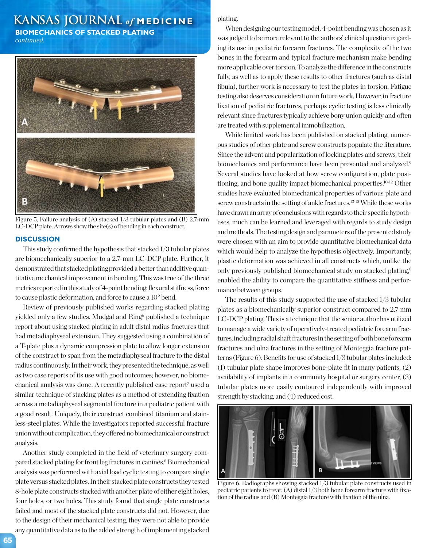# **KANSAS JOURNAL** *of* **MEDICINE**

**BIOMECHANICS OF STACKED PLATING**

*continued.*



Figure 5. Failure analysis of (A) stacked 1/3 tubular plates and (B) 2.7-mm LC-DCP plate. Arrows show the site(s) of bending in each construct.

### **DISCUSSION**

This study confirmed the hypothesis that stacked 1/3 tubular plates are biomechanically superior to a 2.7-mm LC-DCP plate. Further, it demonstrated that stacked plating provided a better than additive quantitative mechanical improvement in bending. This was true of the three metrics reported in this study of 4-point bending: flexural stiffness, force to cause plastic deformation, and force to cause a 10° bend.

Review of previously published works regarding stacked plating yielded only a few studies. Mudgal and Ring<sup>6</sup> published a technique report about using stacked plating in adult distal radius fractures that had metadiaphyseal extension. They suggested using a combination of a T-plate plus a dynamic compression plate to allow longer extension of the construct to span from the metadiaphyseal fracture to the distal radius continuously. In their work, they presented the technique, as well as two case reports of its use with good outcomes; however, no biomechanical analysis was done. A recently published case report<sup>7</sup> used a similar technique of stacking plates as a method of extending fixation across a metadiaphyseal segmental fracture in a pediatric patient with a good result. Uniquely, their construct combined titanium and stainless-steel plates. While the investigators reported successful fracture union without complication, they offered no biomechanical or construct analysis.

Another study completed in the field of veterinary surgery compared stacked plating for front leg fractures in canines.<sup>8</sup> Biomechanical analysis was performed with axial load cyclic testing to compare single plate versus stacked plates. In their stacked plate constructs they tested 8-hole plate constructs stacked with another plate of either eight holes, four holes, or two holes. This study found that single plate constructs failed and most of the stacked plate constructs did not. However, due to the design of their mechanical testing, they were not able to provide any quantitative data as to the added strength of implementing stacked

## plating.

When designing our testing model, 4-point bending was chosen as it was judged to be more relevant to the authors' clinical question regarding its use in pediatric forearm fractures. The complexity of the two bones in the forearm and typical fracture mechanism make bending more applicable over torsion. To analyze the difference in the constructs fully, as well as to apply these results to other fractures (such as distal fibula), further work is necessary to test the plates in torsion. Fatigue testing also deserves consideration in future work. However, in fracture fixation of pediatric fractures, perhaps cyclic testing is less clinically relevant since fractures typically achieve bony union quickly and often are treated with supplemental immobilization.

While limited work has been published on stacked plating, numerous studies of other plate and screw constructs populate the literature. Since the advent and popularization of locking plates and screws, their biomechanics and performance have been presented and analyzed.<sup>9</sup> Several studies have looked at how screw configuration, plate positioning, and bone quality impact biomechanical properties.10-12 Other studies have evaluated biomechanical properties of various plate and screw constructs in the setting of ankle fractures.<sup>13-15</sup> While these works have drawn an array of conclusions with regards to their specific hypotheses, much can be learned and leveraged with regards to study design and methods. The testing design and parameters of the presented study were chosen with an aim to provide quantitative biomechanical data which would help to analyze the hypothesis objectively. Importantly, plastic deformation was achieved in all constructs which, unlike the only previously published biomechanical study on stacked plating,<sup>8</sup> enabled the ability to compare the quantitative stiffness and performance between groups.

The results of this study supported the use of stacked 1/3 tubular plates as a biomechanically superior construct compared to 2.7 mm LC-DCP plating. This is a technique that the senior author has utilized to manage a wide variety of operatively-treated pediatric forearm fractures, including radial shaft fractures in the setting of both bone forearm fractures and ulna fractures in the setting of Monteggia fracture patterns (Figure 6). Benefits for use of stacked 1/3 tubular plates included: (1) tubular plate shape improves bone-plate fit in many patients, (2) availability of implants in a community hospital or surgery center, (3) tubular plates more easily contoured independently with improved strength by stacking, and (4) reduced cost.



Figure 6. Radiographs showing stacked 1/3 tubular plate constructs used in pediatric patients to treat: (A) distal 1/3 both bone forearm fracture with fixation of the radius and (B) Monteggia fracture with fixation of the ulna.